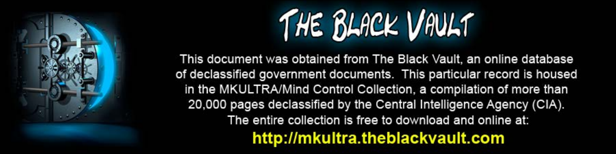

This document was obtained from The Black Vault, an online database of declassified government documents. This particular record is housed in the MKULTRA/Mind Control Collection, a compilation of more than 20,000 pages declassified by the Central Intelligence Agency (CIA). The entire collection is free to download and online at: http://mkultra.theblackvault.com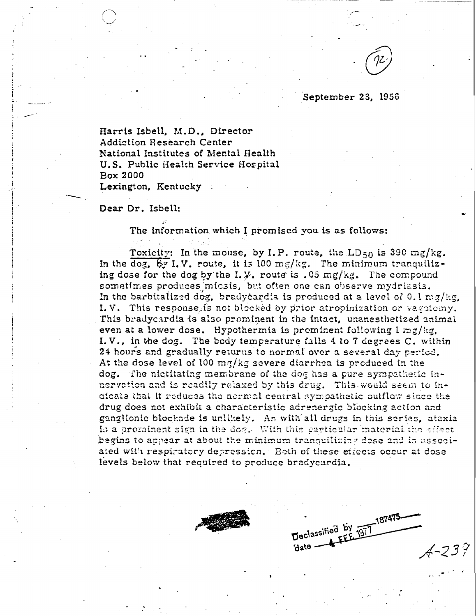## September 23, 1956

Harris Isbell, M.D., Director **Addiction Research Center** National Institutes of Mental Health U.S. Public Health Service Hospital **Box 2000** Lexington, Kentucky

Dear Dr. Isbell:

The information which I promised you is as follows:

Toxicity: In the mouse, by I.P. route, the LD<sub>50</sub> is 390 mg/kg. In the dog,  $69$  I.V. route, it is 100 mg/kg. The minimum tranquilizing dose for the dog by the I.  $\mathcal{Y}_r$ , route is .05 mg/kg. The compound sometimes produces micsis, but often one can observe mydriasis. In the barbitalized dog, bradycardia is produced at a level of 0.1 mg/kg, I.V. This response is not blocked by prior atropinization or vagotomy. This bradycardia is also prominent in the intact, unanesthetized animal even at a lower dose. Hypothermia is prominent following l mg/kg, I.V., in the dog. The body temperature falls 4 to 7 degrees C. within 24 hours and gradually returns to normal over a several day period. At the dose level of 100  $\text{mg/kg}$  severe diarrhea is produced in the dog. The nictitating membrane of the dog has a pure sympathetic innervation and is readily relaxed by this drug. This would seem to indicate that if reduces the normal central sympathetic outflow since the drug does not exhibit a characteristic adrenergic blocking action and ganglionic blockade is unlikely. As with all drugs in this series, ataxia is a prominent sign in the dog. With this particular material the effect begins to appear at about the minimum tranquilizing dose and is associated with respiratory depression. Both of these effects occur at dose levels below that required to produce bradycardia.



Declassified by 19747  $4 - 239$